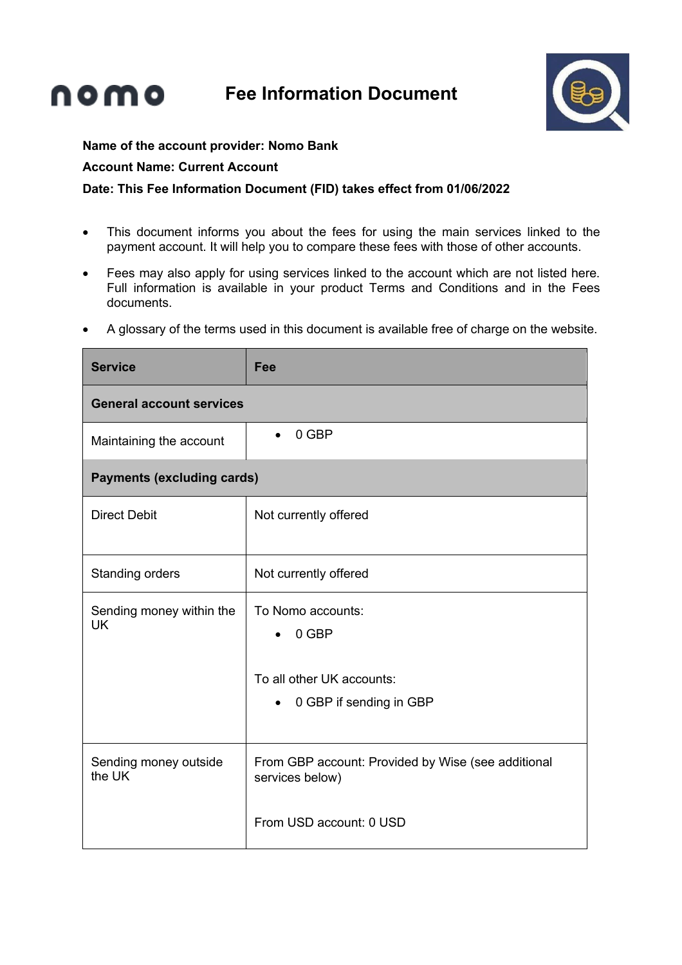**Fee Information Document**



## **Name of the account provider: Nomo Bank**

## **Account Name: Current Account**

nomo

## **Date: This Fee Information Document (FID) takes effect from 01/06/2022**

- This document informs you about the fees for using the main services linked to the payment account. It will help you to compare these fees with those of other accounts.
- Fees may also apply for using services linked to the account which are not listed here. Full information is available in your product Terms and Conditions and in the Fees documents.
- A glossary of the terms used in this document is available free of charge on the website.

| <b>Service</b>                        | Fee                                                                                                          |  |
|---------------------------------------|--------------------------------------------------------------------------------------------------------------|--|
| <b>General account services</b>       |                                                                                                              |  |
| Maintaining the account               | 0 GBP<br>$\bullet$                                                                                           |  |
| <b>Payments (excluding cards)</b>     |                                                                                                              |  |
| <b>Direct Debit</b>                   | Not currently offered                                                                                        |  |
| Standing orders                       | Not currently offered                                                                                        |  |
| Sending money within the<br><b>UK</b> | To Nomo accounts:<br>0 GBP<br>$\bullet$<br>To all other UK accounts:<br>0 GBP if sending in GBP<br>$\bullet$ |  |
| Sending money outside<br>the UK       | From GBP account: Provided by Wise (see additional<br>services below)<br>From USD account: 0 USD             |  |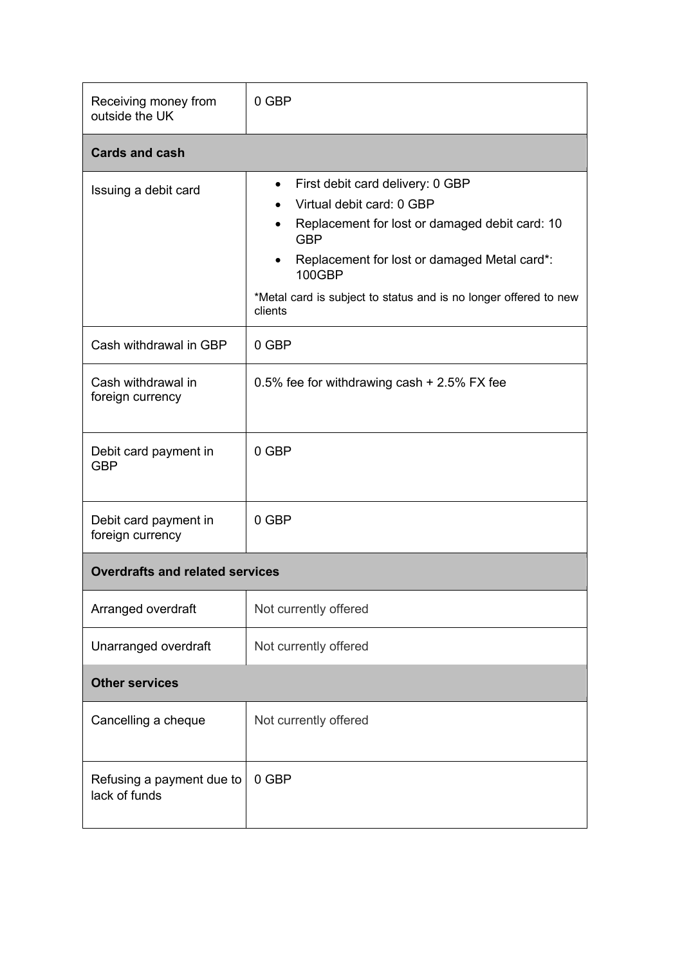| Receiving money from<br>outside the UK     | 0 GBP                                                                                                                                                                                                                                                                                                                             |  |
|--------------------------------------------|-----------------------------------------------------------------------------------------------------------------------------------------------------------------------------------------------------------------------------------------------------------------------------------------------------------------------------------|--|
| <b>Cards and cash</b>                      |                                                                                                                                                                                                                                                                                                                                   |  |
| Issuing a debit card                       | First debit card delivery: 0 GBP<br>$\bullet$<br>Virtual debit card: 0 GBP<br>$\bullet$<br>Replacement for lost or damaged debit card: 10<br>$\bullet$<br><b>GBP</b><br>Replacement for lost or damaged Metal card*:<br>$\bullet$<br><b>100GBP</b><br>*Metal card is subject to status and is no longer offered to new<br>clients |  |
| Cash withdrawal in GBP                     | 0 GBP                                                                                                                                                                                                                                                                                                                             |  |
| Cash withdrawal in<br>foreign currency     | 0.5% fee for withdrawing cash + 2.5% FX fee                                                                                                                                                                                                                                                                                       |  |
| Debit card payment in<br><b>GBP</b>        | 0 GBP                                                                                                                                                                                                                                                                                                                             |  |
| Debit card payment in<br>foreign currency  | 0 GBP                                                                                                                                                                                                                                                                                                                             |  |
| <b>Overdrafts and related services</b>     |                                                                                                                                                                                                                                                                                                                                   |  |
| Arranged overdraft                         | Not currently offered                                                                                                                                                                                                                                                                                                             |  |
| Unarranged overdraft                       | Not currently offered                                                                                                                                                                                                                                                                                                             |  |
| <b>Other services</b>                      |                                                                                                                                                                                                                                                                                                                                   |  |
| Cancelling a cheque                        | Not currently offered                                                                                                                                                                                                                                                                                                             |  |
| Refusing a payment due to<br>lack of funds | 0 GBP                                                                                                                                                                                                                                                                                                                             |  |